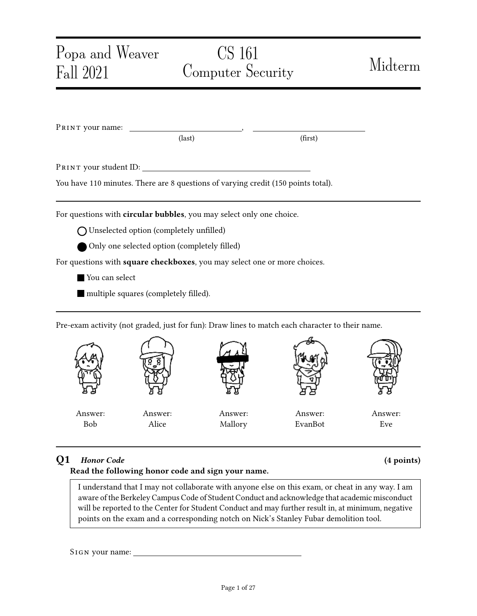| Popa and Weaver<br>Fall 2021 | CS 161<br><b>Computer Security</b>                                                |         | Midterm |
|------------------------------|-----------------------------------------------------------------------------------|---------|---------|
|                              |                                                                                   |         |         |
| PRINT your name:             | (last)                                                                            | (first) |         |
|                              | PRINT your student ID:                                                            |         |         |
|                              | You have 110 minutes. There are 8 questions of varying credit (150 points total). |         |         |
|                              | For questions with circular bubbles, you may select only one choice.              |         |         |
|                              | $\bigcap$ Unselected option (completely unfilled)                                 |         |         |
|                              | Only one selected option (completely filled)                                      |         |         |
|                              |                                                                                   |         |         |
|                              | For questions with square checkboxes, you may select one or more choices.         |         |         |
| You can select               |                                                                                   |         |         |



# Q1 Honor Code (4 points) Read the following honor code and sign your name.

I understand that I may not collaborate with anyone else on this exam, or cheat in any way. I am aware of the Berkeley Campus Code of Student Conduct and acknowledge that academic misconduct will be reported to the Center for Student Conduct and may further result in, at minimum, negative points on the exam and a corresponding notch on Nick's Stanley Fubar demolition tool.

SIGN your name: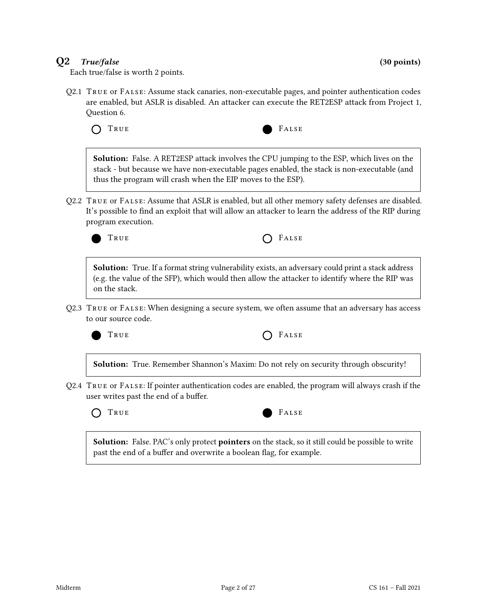# $Q2$  True/false (30 points)

Each true/false is worth 2 points.

Q2.1 True or False: Assume stack canaries, non-executable pages, and pointer authentication codes are enabled, but ASLR is disabled. An attacker can execute the RET2ESP attack from Project 1, Question 6.

TRUE FALSE

Solution: False. A RET2ESP attack involves the CPU jumping to the ESP, which lives on the stack - but because we have non-executable pages enabled, the stack is non-executable (and thus the program will crash when the EIP moves to the ESP).

Q2.2 True or False: Assume that ASLR is enabled, but all other memory safety defenses are disabled. It's possible to find an exploit that will allow an attacker to learn the address of the RIP during program execution.



Solution: True. If a format string vulnerability exists, an adversary could print a stack address (e.g. the value of the SFP), which would then allow the attacker to identify where the RIP was on the stack.

Q2.3 True or False: When designing a secure system, we often assume that an adversary has access to our source code.



| True | $O$ FALSE |
|------|-----------|
|------|-----------|

Solution: True. Remember Shannon's Maxim: Do not rely on security through obscurity!

Q2.4 True or False: If pointer authentication codes are enabled, the program will always crash if the user writes past the end of a buffer.



Solution: False. PAC's only protect pointers on the stack, so it still could be possible to write past the end of a buffer and overwrite a boolean flag, for example.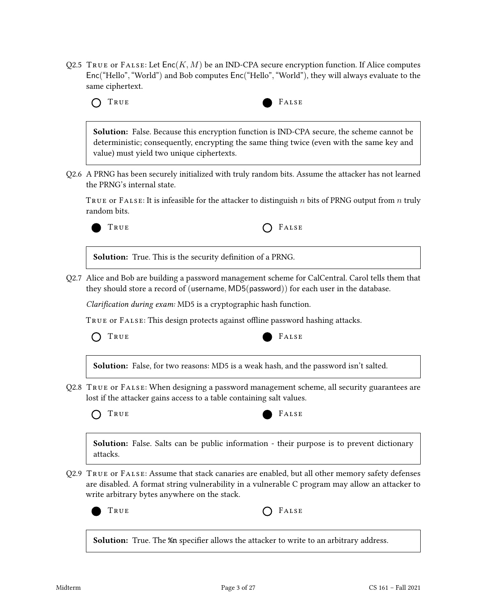Q2.5 TRUE or FALSE: Let  $Enc(K, M)$  be an IND-CPA secure encryption function. If Alice computes Enc("Hello","World") and Bob computes Enc("Hello","World"), they will always evaluate to the same ciphertext.



Solution: False. Because this encryption function is IND-CPA secure, the scheme cannot be deterministic; consequently, encrypting the same thing twice (even with the same key and value) must yield two unique ciphertexts.

Q2.6 A PRNG has been securely initialized with truly random bits. Assume the attacker has not learned the PRNG's internal state.

TRUE OF FALSE: It is infeasible for the attacker to distinguish n bits of PRNG output from n truly random bits.



Solution: True. This is the security definition of a PRNG.

Q2.7 Alice and Bob are building a password management scheme for CalCentral. Carol tells them that they should store a record of (username, MD5(password)) for each user in the database.

Clarification during exam: MD5 is a cryptographic hash function.

TRUE OF FALSE: This design protects against offline password hashing attacks.

TRUE FALSE



Solution: False, for two reasons: MD5 is a weak hash, and the password isn't salted.

Q2.8 True or False: When designing a password management scheme, all security guarantees are lost if the attacker gains access to a table containing salt values.





**Solution:** False. Salts can be public information - their purpose is to prevent dictionary attacks.

Q2.9 True or False: Assume that stack canaries are enabled, but all other memory safety defenses are disabled. A format string vulnerability in a vulnerable C program may allow an attacker to write arbitrary bytes anywhere on the stack.





Solution: True. The %n specifier allows the attacker to write to an arbitrary address.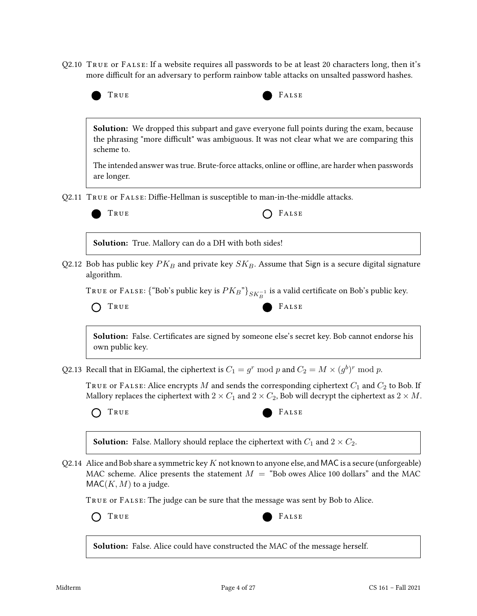Q2.10 True or False: If a website requires all passwords to be at least 20 characters long, then it's more difficult for an adversary to perform rainbow table attacks on unsalted password hashes.



**Solution:** We dropped this subpart and gave everyone full points during the exam, because the phrasing "more difficult" was ambiguous. It was not clear what we are comparing this scheme to.

The intended answer was true. Brute-force attacks, online or offline, are harder when passwords are longer.

Q2.11 TRUE or FALSE: Diffie-Hellman is susceptible to man-in-the-middle attacks.



TRUE **CONSTRUE** 

Solution: True. Mallory can do a DH with both sides!

Q2.12 Bob has public key  $PK_B$  and private key  $SK_B$ . Assume that Sign is a secure digital signature algorithm.

TRUE or FALSE: {"Bob's public key is  $PK_B$ "} $_{SK_B^{-1}}$  is a valid certificate on Bob's public key.



Solution: False. Certificates are signed by someone else's secret key. Bob cannot endorse his own public key.

Q2.13 Recall that in ElGamal, the ciphertext is  $C_1 = g^r \bmod p$  and  $C_2 = M \times (g^b)^r \bmod p$ .

TRUE or FALSE: Alice encrypts  $M$  and sends the corresponding ciphertext  $C_1$  and  $C_2$  to Bob. If Mallory replaces the ciphertext with  $2 \times C_1$  and  $2 \times C_2$ , Bob will decrypt the ciphertext as  $2 \times M$ .

TRUE FALSE



**Solution:** False. Mallory should replace the ciphertext with  $C_1$  and  $2 \times C_2$ .

Q2.14 Alice and Bob share a symmetric key  $K$  not known to anyone else, and MAC is a secure (unforgeable) MAC scheme. Alice presents the statement  $M =$  "Bob owes Alice 100 dollars" and the MAC  $MAC(K, M)$  to a judge.

True or False: The judge can be sure that the message was sent by Bob to Alice.



Solution: False. Alice could have constructed the MAC of the message herself.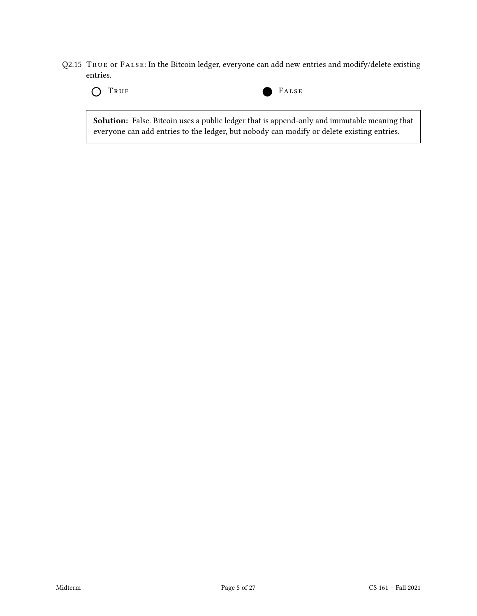Q2.15 True or False: In the Bitcoin ledger, everyone can add new entries and modify/delete existing entries.





Solution: False. Bitcoin uses a public ledger that is append-only and immutable meaning that everyone can add entries to the ledger, but nobody can modify or delete existing entries.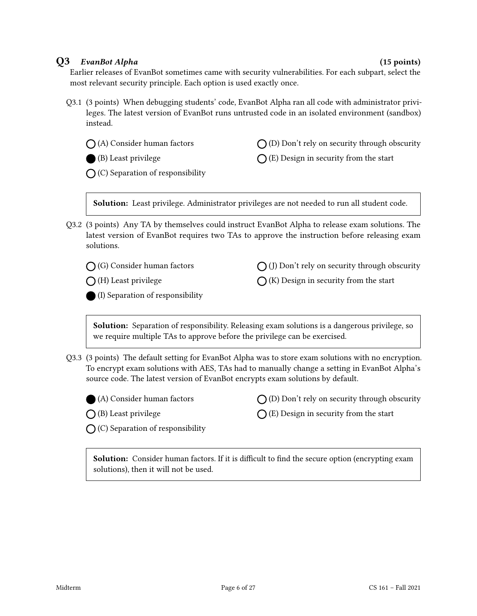## Q3 EvanBot Alpha (15 points)

Earlier releases of EvanBot sometimes came with security vulnerabilities. For each subpart, select the most relevant security principle. Each option is used exactly once.

Q3.1 (3 points) When debugging students' code, EvanBot Alpha ran all code with administrator privileges. The latest version of EvanBot runs untrusted code in an isolated environment (sandbox) instead.

(A) Consider human factors

(B) Least privilege

 $\bigcap$  (D) Don't rely on security through obscurity

 $\bigcap$  (E) Design in security from the start

 $\bigcap$  (C) Separation of responsibility

Solution: Least privilege. Administrator privileges are not needed to run all student code.

Q3.2 (3 points) Any TA by themselves could instruct EvanBot Alpha to release exam solutions. The latest version of EvanBot requires two TAs to approve the instruction before releasing exam solutions.

(G) Consider human factors

 $\bigcap$  (J) Don't rely on security through obscurity

 $\bigcap$  (K) Design in security from the start

 $\bigcap$  (H) Least privilege

(I) Separation of responsibility

**Solution:** Separation of responsibility. Releasing exam solutions is a dangerous privilege, so we require multiple TAs to approve before the privilege can be exercised.

Q3.3 (3 points) The default setting for EvanBot Alpha was to store exam solutions with no encryption. To encrypt exam solutions with AES, TAs had to manually change a setting in EvanBot Alpha's source code. The latest version of EvanBot encrypts exam solutions by default.



 $\bigcap$  (B) Least privilege

- $\bigcap$  (D) Don't rely on security through obscurity
- $\bigcap$  (E) Design in security from the start

 $\bigcap$  (C) Separation of responsibility

Solution: Consider human factors. If it is difficult to find the secure option (encrypting exam solutions), then it will not be used.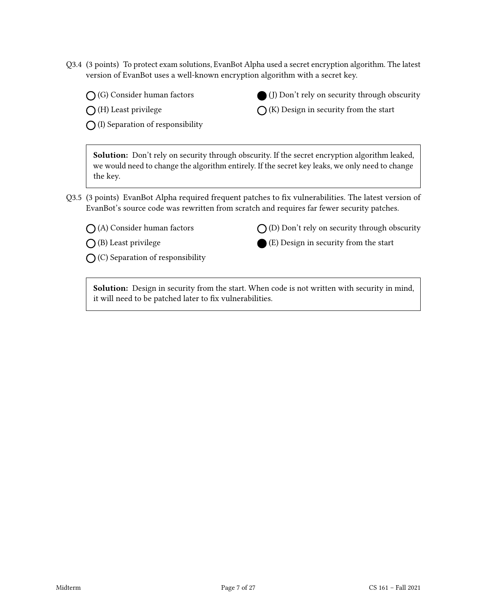- Q3.4 (3 points) To protect exam solutions, EvanBot Alpha used a secret encryption algorithm. The latest version of EvanBot uses a well-known encryption algorithm with a secret key.
	- (G) Consider human factors

 $\bigcap$  (H) Least privilege

 $\bigcap$  (I) Separation of responsibility

Solution: Don't rely on security through obscurity. If the secret encryption algorithm leaked, we would need to change the algorithm entirely. If the secret key leaks, we only need to change the key.

Q3.5 (3 points) EvanBot Alpha required frequent patches to fix vulnerabilities. The latest version of EvanBot's source code was rewritten from scratch and requires far fewer security patches.

(A) Consider human factors

 $\bigcirc$  (B) Least privilege

 $\bigcap$  (C) Separation of responsibility

 $\bigcap$  (D) Don't rely on security through obscurity

(J) Don't rely on security through obscurity

 $\bigcap$  (K) Design in security from the start

(E) Design in security from the start

Solution: Design in security from the start. When code is not written with security in mind, it will need to be patched later to fix vulnerabilities.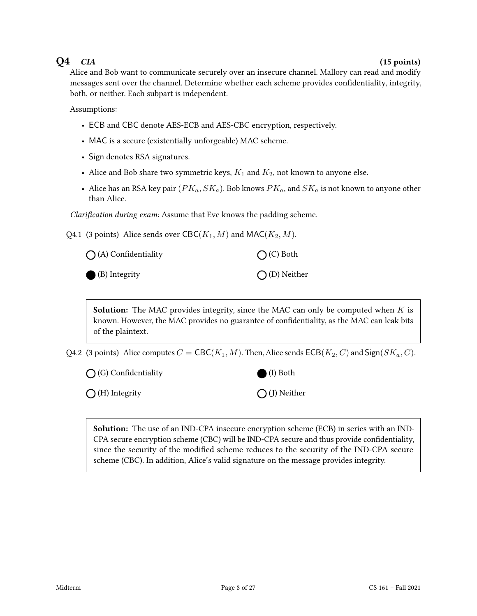# $Q4$  CIA (15 points)

Alice and Bob want to communicate securely over an insecure channel. Mallory can read and modify messages sent over the channel. Determine whether each scheme provides condentiality, integrity, both, or neither. Each subpart is independent.

Assumptions:

- ECB and CBC denote AES-ECB and AES-CBC encryption, respectively.
- MAC is a secure (existentially unforgeable) MAC scheme.
- Sign denotes RSA signatures.
- Alice and Bob share two symmetric keys,  $K_1$  and  $K_2$ , not known to anyone else.
- Alice has an RSA key pair  $(PK_a, SK_a)$ . Bob knows  $PK_a$ , and  $SK_a$  is not known to anyone other than Alice.

Clarification during exam: Assume that Eve knows the padding scheme.

Q4.1 (3 points) Alice sends over  $\text{CBC}(K_1, M)$  and  $\text{MAC}(K_2, M)$ .

| $\bigcap$ (A) Confidentiality | $O(C)$ Both           |  |  |
|-------------------------------|-----------------------|--|--|
| $\bigcirc$ (B) Integrity      | $\bigcap$ (D) Neither |  |  |

**Solution:** The MAC provides integrity, since the MAC can only be computed when  $K$  is known. However, the MAC provides no guarantee of confidentiality, as the MAC can leak bits of the plaintext.

Q4.2 (3 points) Alice computes  $C = \text{CBC}(K_1, M)$ . Then, Alice sends  $\text{ECB}(K_2, C)$  and  $\text{Sign}(SK_a, C)$ .

 $\bigcap$  (G) Confidentiality

 $\bigcirc$  (H) Integrity

(I) Both

 $\bigcap$  (J) Neither

Solution: The use of an IND-CPA insecure encryption scheme (ECB) in series with an IND-CPA secure encryption scheme (CBC) will be IND-CPA secure and thus provide confidentiality, since the security of the modified scheme reduces to the security of the IND-CPA secure scheme (CBC). In addition, Alice's valid signature on the message provides integrity.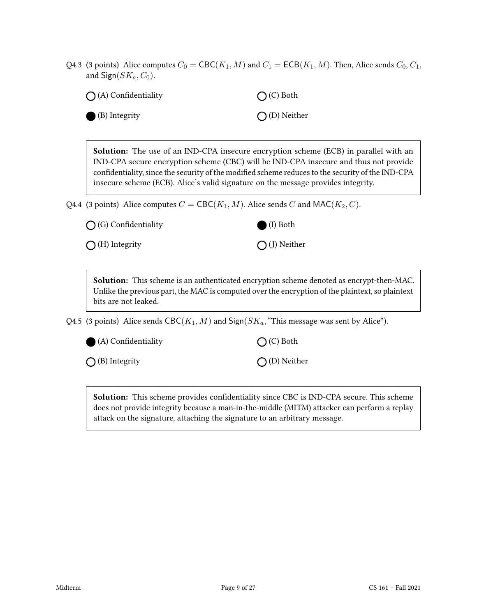Q4.3 (3 points) Alice computes  $C_0 = \text{CBC}(K_1, M)$  and  $C_1 = \text{ECB}(K_1, M)$ . Then, Alice sends  $C_0, C_1$ , and  $Sign(SK_a, C_0)$ .

| $\bigcap$ (A) Confidentiality | $O(C)$ Both           |  |  |
|-------------------------------|-----------------------|--|--|
| $\bullet$ (B) Integrity       | $\bigcap$ (D) Neither |  |  |

Solution: The use of an IND-CPA insecure encryption scheme (ECB) in parallel with an IND-CPA secure encryption scheme (CBC) will be IND-CPA insecure and thus not provide condentiality, since the security of the modied scheme reduces to the security of the IND-CPA insecure scheme (ECB). Alice's valid signature on the message provides integrity.

Q4.4 (3 points) Alice computes  $C = \text{CBC}(K_1, M)$ . Alice sends C and MAC( $K_2, C$ ).

 $\bigcap$  (G) Confidentiality

 $\bigcap$  (H) Integrity

Solution: This scheme is an authenticated encryption scheme denoted as encrypt-then-MAC. Unlike the previous part, the MAC is computed over the encryption of the plaintext, so plaintext bits are not leaked.

Q4.5 (3 points) Alice sends  $CBC(K_1, M)$  and  $Sign(SK_a, "This message was sent by Alice").$ 



 $\bigcirc$  (A) Confidentiality

 $\bigcap$  (B) Integrity

 $\bigcap$  (C) Both

(I) Both

 $\bigcap$  (J) Neither

(D) Neither

Solution: This scheme provides confidentiality since CBC is IND-CPA secure. This scheme does not provide integrity because a man-in-the-middle (MITM) attacker can perform a replay attack on the signature, attaching the signature to an arbitrary message.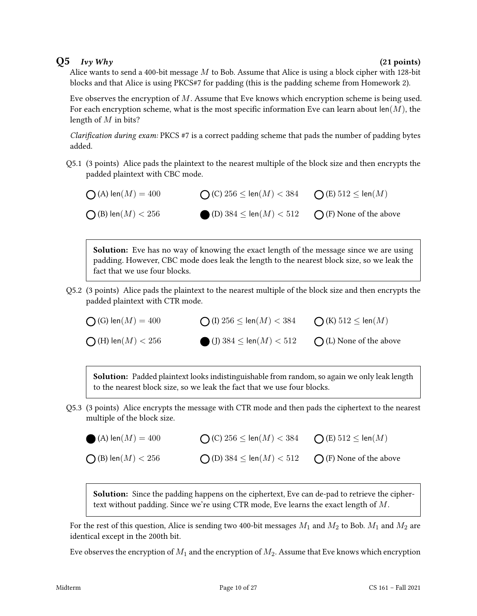## $Q5$   $IvyWhy$  (21 points)

Alice wants to send a 400-bit message  $M$  to Bob. Assume that Alice is using a block cipher with 128-bit blocks and that Alice is using PKCS#7 for padding (this is the padding scheme from Homework 2).

Eve observes the encryption of  $M$ . Assume that Eve knows which encryption scheme is being used. For each encryption scheme, what is the most specific information Eve can learn about len $(M)$ , the length of M in bits?

Clarification during exam: PKCS #7 is a correct padding scheme that pads the number of padding bytes added.

Q5.1 (3 points) Alice pads the plaintext to the nearest multiple of the block size and then encrypts the padded plaintext with CBC mode.

 $\bigcap$  (A) len $(M) = 400$  $\bigcap$  (B) len $(M) < 256$  $\bigcap$  (C) 256  $\leq$  len $(M) < 384$ (D)  $384 \le \text{len}(M) < 512$  $\bigcap$  (E)  $512 \leq \text{len}(M)$  $\bigcap$  (F) None of the above

**Solution:** Eve has no way of knowing the exact length of the message since we are using padding. However, CBC mode does leak the length to the nearest block size, so we leak the fact that we use four blocks.

Q5.2 (3 points) Alice pads the plaintext to the nearest multiple of the block size and then encrypts the padded plaintext with CTR mode.

 $\bigcap$  (G) len $(M) = 400$  $\bigcirc$  (H) len $(M) < 256$  $\bigcap$  (I)  $256 \leq \text{len}(M) < 384$ (J)  $384 \leq$  len(*M*)  $< 512$  $\bigcap$  (K)  $512 \leq \text{len}(M)$  $\bigcap$  (L) None of the above

Solution: Padded plaintext looks indistinguishable from random, so again we only leak length to the nearest block size, so we leak the fact that we use four blocks.

Q5.3 (3 points) Alice encrypts the message with CTR mode and then pads the ciphertext to the nearest multiple of the block size.

| (A) $len(M) = 400$            | ◯ (C) $256 \leq$ len( $M$ ) $< 384$ | $\bigcap$ (E) $512 \leq \text{len}(M)$ |
|-------------------------------|-------------------------------------|----------------------------------------|
| $\bigcap$ (B) len $(M) < 256$ | ◯ (D) $384 \leq$ len $(M) < 512$    | $\bigcap$ (F) None of the above        |

**Solution:** Since the padding happens on the ciphertext, Eve can de-pad to retrieve the ciphertext without padding. Since we're using CTR mode, Eve learns the exact length of M.

For the rest of this question, Alice is sending two 400-bit messages  $M_1$  and  $M_2$  to Bob.  $M_1$  and  $M_2$  are identical except in the 200th bit.

Eve observes the encryption of  $M_1$  and the encryption of  $M_2$ . Assume that Eve knows which encryption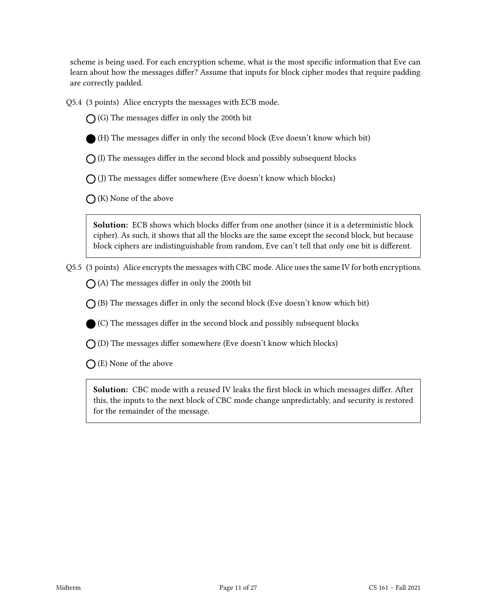scheme is being used. For each encryption scheme, what is the most specific information that Eve can learn about how the messages differ? Assume that inputs for block cipher modes that require padding are correctly padded.

Q5.4 (3 points) Alice encrypts the messages with ECB mode.

 $\bigcap$  (G) The messages differ in only the 200th bit



 $\bigcap$  (I) The messages differ in the second block and possibly subsequent blocks

 $\bigcap$  (J) The messages differ somewhere (Eve doesn't know which blocks)

 $\bigcap$  (K) None of the above

Solution: ECB shows which blocks differ from one another (since it is a deterministic block cipher). As such, it shows that all the blocks are the same except the second block, but because block ciphers are indistinguishable from random, Eve can't tell that only one bit is different.

Q5.5 (3 points) Alice encrypts the messages with CBC mode. Alice uses the same IV for both encryptions.

 $\bigcap$  (A) The messages differ in only the 200th bit

 $\bigcap$  (B) The messages differ in only the second block (Eve doesn't know which bit)

 $(C)$  The messages differ in the second block and possibly subsequent blocks

 $\bigcap$  (D) The messages differ somewhere (Eve doesn't know which blocks)

 $\bigcap$  (E) None of the above

Solution: CBC mode with a reused IV leaks the first block in which messages differ. After this, the inputs to the next block of CBC mode change unpredictably, and security is restored for the remainder of the message.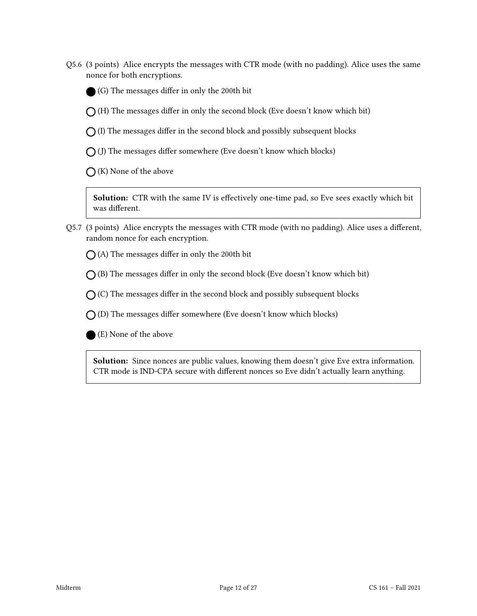Q5.6 (3 points) Alice encrypts the messages with CTR mode (with no padding). Alice uses the same nonce for both encryptions.



 $\bigcap$  (H) The messages differ in only the second block (Eve doesn't know which bit)

 $\bigcap$  (I) The messages differ in the second block and possibly subsequent blocks

 $\bigcap$  (J) The messages differ somewhere (Eve doesn't know which blocks)

 $\bigcap$  (K) None of the above

Solution: CTR with the same IV is effectively one-time pad, so Eve sees exactly which bit was different.

Q5.7 (3 points) Alice encrypts the messages with CTR mode (with no padding). Alice uses a different, random nonce for each encryption.

 $\bigcap$  (A) The messages differ in only the 200th bit

 $\bigcap$  (B) The messages differ in only the second block (Eve doesn't know which bit)

 $\bigcap$  (C) The messages differ in the second block and possibly subsequent blocks

 $\bigcap$  (D) The messages differ somewhere (Eve doesn't know which blocks)

(E) None of the above

Solution: Since nonces are public values, knowing them doesn't give Eve extra information. CTR mode is IND-CPA secure with different nonces so Eve didn't actually learn anything.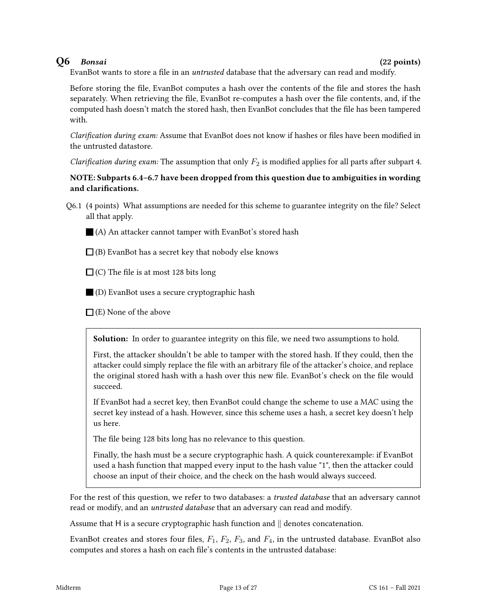# $Q6$  Bonsai (22 points)

EvanBot wants to store a file in an *untrusted* database that the adversary can read and modify.

Before storing the file, EvanBot computes a hash over the contents of the file and stores the hash separately. When retrieving the file, EvanBot re-computes a hash over the file contents, and, if the computed hash doesn't match the stored hash, then EvanBot concludes that the file has been tampered with.

Clarification during exam: Assume that EvanBot does not know if hashes or files have been modified in the untrusted datastore.

Clarification during exam: The assumption that only  $F_2$  is modified applies for all parts after subpart 4.

## NOTE: Subparts 6.4–6.7 have been dropped from this question due to ambiguities in wording and clarifications.

- Q6.1 (4 points) What assumptions are needed for this scheme to guarantee integrity on the file? Select all that apply.
	- (A) An attacker cannot tamper with EvanBot's stored hash
	- $\Box$  (B) EvanBot has a secret key that nobody else knows
	- $\Box$  (C) The file is at most 128 bits long
	- (D) EvanBot uses a secure cryptographic hash
	- $\Box$  (E) None of the above

Solution: In order to guarantee integrity on this file, we need two assumptions to hold.

First, the attacker shouldn't be able to tamper with the stored hash. If they could, then the attacker could simply replace the file with an arbitrary file of the attacker's choice, and replace the original stored hash with a hash over this new file. EvanBot's check on the file would succeed.

If EvanBot had a secret key, then EvanBot could change the scheme to use a MAC using the secret key instead of a hash. However, since this scheme uses a hash, a secret key doesn't help us here.

The file being 128 bits long has no relevance to this question.

Finally, the hash must be a secure cryptographic hash. A quick counterexample: if EvanBot used a hash function that mapped every input to the hash value "1", then the attacker could choose an input of their choice, and the check on the hash would always succeed.

For the rest of this question, we refer to two databases: a *trusted database* that an adversary cannot read or modify, and an *untrusted database* that an adversary can read and modify.

Assume that H is a secure cryptographic hash function and  $\parallel$  denotes concatenation.

EvanBot creates and stores four files,  $F_1$ ,  $F_2$ ,  $F_3$ , and  $F_4$ , in the untrusted database. EvanBot also computes and stores a hash on each file's contents in the untrusted database: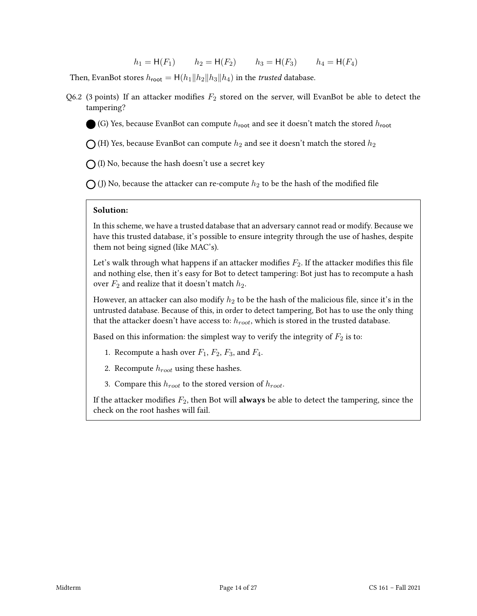$$
h_1 = H(F_1)
$$
  $h_2 = H(F_2)$   $h_3 = H(F_3)$   $h_4 = H(F_4)$ 

Then, EvanBot stores  $h_{\text{root}} = H(h_1||h_2||h_3||h_4)$  in the *trusted* database.

Q6.2 (3 points) If an attacker modifies  $F_2$  stored on the server, will EvanBot be able to detect the tampering?

(G) Yes, because EvanBot can compute  $h_{\text{root}}$  and see it doesn't match the stored  $h_{\text{root}}$ 

 $\bigcap$  (H) Yes, because EvanBot can compute  $h_2$  and see it doesn't match the stored  $h_2$ 

 $\bigcap$  (I) No, because the hash doesn't use a secret key

 $\bigcap$  (J) No, because the attacker can re-compute  $h_2$  to be the hash of the modified file

## Solution:

In this scheme, we have a trusted database that an adversary cannot read or modify. Because we have this trusted database, it's possible to ensure integrity through the use of hashes, despite them not being signed (like MAC's).

Let's walk through what happens if an attacker modifies  $F_2$ . If the attacker modifies this file and nothing else, then it's easy for Bot to detect tampering: Bot just has to recompute a hash over  $F_2$  and realize that it doesn't match  $h_2$ .

However, an attacker can also modify  $h_2$  to be the hash of the malicious file, since it's in the untrusted database. Because of this, in order to detect tampering, Bot has to use the only thing that the attacker doesn't have access to:  $h_{root}$ , which is stored in the trusted database.

Based on this information: the simplest way to verify the integrity of  $F_2$  is to:

- 1. Recompute a hash over  $F_1$ ,  $F_2$ ,  $F_3$ , and  $F_4$ .
- 2. Recompute  $h_{root}$  using these hashes.
- 3. Compare this  $h_{root}$  to the stored version of  $h_{root}$ .

If the attacker modifies  $F_2$ , then Bot will **always** be able to detect the tampering, since the check on the root hashes will fail.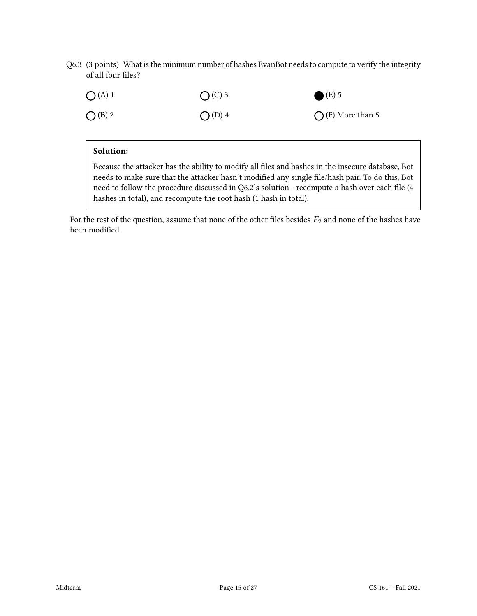Q6.3 (3 points) What is the minimum number of hashes EvanBot needs to compute to verify the integrity of all four files?

| O(A)1     | $O(C)$ 3 | $(E)$ 5                   |
|-----------|----------|---------------------------|
| $O$ (B) 2 | $O(D)$ 4 | $\bigcap$ (F) More than 5 |

## Solution:

Because the attacker has the ability to modify all files and hashes in the insecure database, Bot needs to make sure that the attacker hasn't modified any single file/hash pair. To do this, Bot need to follow the procedure discussed in Q6.2's solution - recompute a hash over each file (4 hashes in total), and recompute the root hash (1 hash in total).

For the rest of the question, assume that none of the other files besides  $F_2$  and none of the hashes have been modified.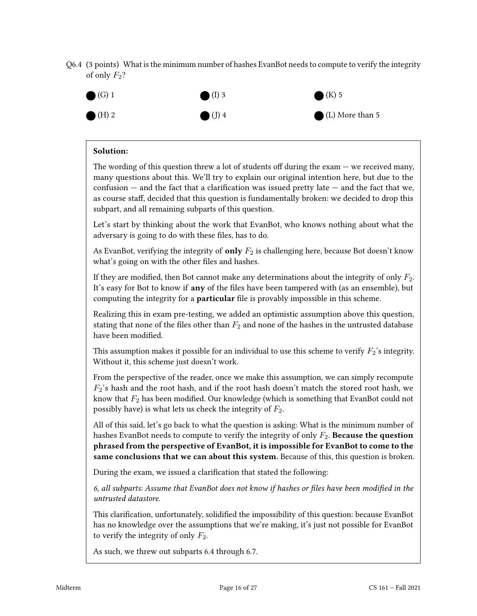Q6.4 (3 points) What is the minimum number of hashes EvanBot needs to compute to verify the integrity of only  $F_2$ ?



## Solution:

The wording of this question threw a lot of students off during the exam  $-$  we received many, many questions about this. We'll try to explain our original intention here, but due to the confusion  $-$  and the fact that a clarification was issued pretty late  $-$  and the fact that we, as course staff, decided that this question is fundamentally broken: we decided to drop this subpart, and all remaining subparts of this question.

Let's start by thinking about the work that EvanBot, who knows nothing about what the adversary is going to do with these files, has to do.

As EvanBot, verifying the integrity of **only**  $F_2$  is challenging here, because Bot doesn't know what's going on with the other files and hashes.

If they are modified, then Bot cannot make any determinations about the integrity of only  $F_2$ . It's easy for Bot to know if **any** of the files have been tampered with (as an ensemble), but computing the integrity for a **particular** file is provably impossible in this scheme.

Realizing this in exam pre-testing, we added an optimistic assumption above this question, stating that none of the files other than  $F_2$  and none of the hashes in the untrusted database have been modified.

This assumption makes it possible for an individual to use this scheme to verify  $F_2$ 's integrity. Without it, this scheme just doesn't work.

From the perspective of the reader, once we make this assumption, we can simply recompute  $F_2$ 's hash and the root hash, and if the root hash doesn't match the stored root hash, we know that  $F_2$  has been modified. Our knowledge (which is something that EvanBot could not possibly have) is what lets us check the integrity of  $F_2$ .

All of this said, let's go back to what the question is asking: What is the minimum number of hashes EvanBot needs to compute to verify the integrity of only  $F_2$ . Because the question phrased from the perspective of EvanBot, it is impossible for EvanBot to come to the same conclusions that we can about this system. Because of this, this question is broken.

During the exam, we issued a clarification that stated the following:

6, all subparts: Assume that EvanBot does not know if hashes or files have been modified in the untrusted datastore.

This clarification, unfortunately, solidified the impossibility of this question: because EvanBot has no knowledge over the assumptions that we're making, it's just not possible for EvanBot to verify the integrity of only  $F_2$ .

As such, we threw out subparts 6.4 through 6.7.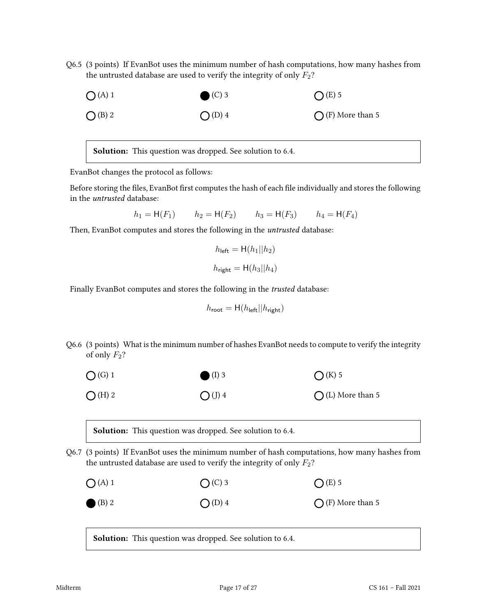Q6.5 (3 points) If EvanBot uses the minimum number of hash computations, how many hashes from the untrusted database are used to verify the integrity of only  $F_2$ ?



Solution: This question was dropped. See solution to 6.4.

EvanBot changes the protocol as follows:

Before storing the files, EvanBot first computes the hash of each file individually and stores the following in the untrusted database:

 $h_1 = H(F_1)$   $h_2 = H(F_2)$   $h_3 = H(F_3)$   $h_4 = H(F_4)$ 

Then, EvanBot computes and stores the following in the *untrusted* database:

$$
h_{\text{left}} = \mathsf{H}(h_1 || h_2)
$$
  

$$
h_{\text{right}} = \mathsf{H}(h_3 || h_4)
$$

Finally EvanBot computes and stores the following in the trusted database:

$$
h_{\text{root}} = \mathbf{H}(h_{\text{left}} || h_{\text{right}})
$$

Q6.6 (3 points) What is the minimum number of hashes EvanBot needs to compute to verify the integrity of only  $F_2$ ?



Solution: This question was dropped. See solution to 6.4.

Q6.7 (3 points) If EvanBot uses the minimum number of hash computations, how many hashes from the untrusted database are used to verify the integrity of only  $F_2$ ?

| O(A)1            | $O(C)$ 3 | $O(E)$ 5                  |
|------------------|----------|---------------------------|
| $\bigcirc$ (B) 2 | $O(D)$ 4 | $\bigcap$ (F) More than 5 |

Solution: This question was dropped. See solution to 6.4.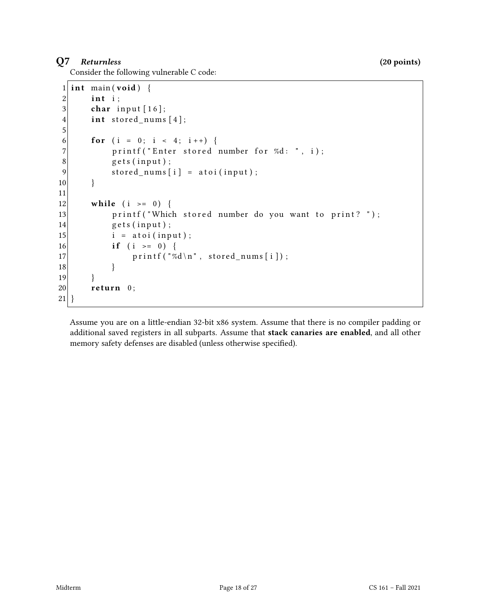# $Q7$  Returnless (20 points)

Consider the following vulnerable C code:

```
1 int main (void) {
2 int i;
3 char input [16];
4 int stored_nums [4];
5
6 for (i = 0; i < 4; i + 1) {
7 printf ("Enter stored number for % d: ", i);
8 \mid gets (input);
9 stored_nums[i] = atoi(input);
10 }
11
12 while (i \ge 0) {
13 printf ("Which stored number do you want to print?");
14 gets (input);
15 i = atoi(input);
16 if (i >= 0)17 printf ("%d \n", stored_nums [i]);
18 }
19 }
20 return 0;
21}
```
Assume you are on a little-endian 32-bit x86 system. Assume that there is no compiler padding or additional saved registers in all subparts. Assume that stack canaries are enabled, and all other memory safety defenses are disabled (unless otherwise specified).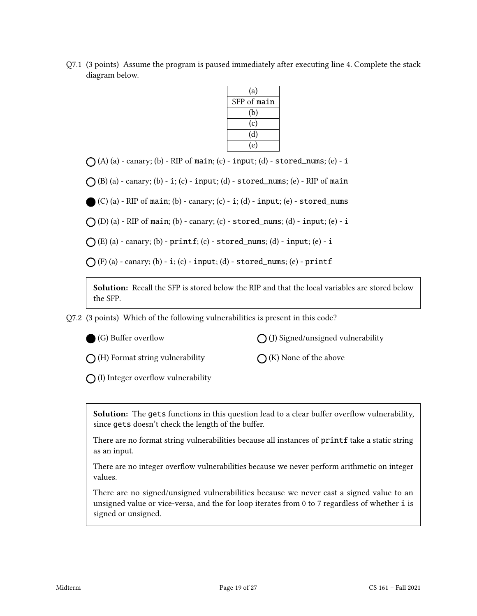Q7.1 (3 points) Assume the program is paused immediately after executing line 4. Complete the stack diagram below.

| (a)         |
|-------------|
| SFP of main |
| (b)         |
| (c)         |
| (d)         |
| (e)         |

 $\bigcap$  (A) (a) - canary; (b) - RIP of main; (c) - input; (d) - stored\_nums; (e) - i

 $\bigcap$  (B) (a) - canary; (b) - i; (c) - input; (d) - stored\_nums; (e) - RIP of main

 $(C)$  (a) - RIP of main; (b) - canary; (c) - i; (d) - input; (e) - stored\_nums

 $\bigcap$  (D) (a) - RIP of main; (b) - canary; (c) - stored\_nums; (d) - input; (e) - i

 $\bigcap$  (E) (a) - canary; (b) - printf; (c) - stored\_nums; (d) - input; (e) - i

 $\bigcap$  (F) (a) - canary; (b) - i; (c) - input; (d) - stored\_nums; (e) - printf

Solution: Recall the SFP is stored below the RIP and that the local variables are stored below the SFP.

Q7.2 (3 points) Which of the following vulnerabilities is present in this code?

| (G) Buffer overflow |  |
|---------------------|--|
|---------------------|--|

 $\bigcap$  (J) Signed/unsigned vulnerability

 $\bigcap$  (H) Format string vulnerability

 $\bigcap$  (K) None of the above

 $\bigcap$  (I) Integer overflow vulnerability

Solution: The gets functions in this question lead to a clear buffer overflow vulnerability, since gets doesn't check the length of the buffer.

There are no format string vulnerabilities because all instances of printf take a static string as an input.

There are no integer overflow vulnerabilities because we never perform arithmetic on integer values.

There are no signed/unsigned vulnerabilities because we never cast a signed value to an unsigned value or vice-versa, and the for loop iterates from 0 to 7 regardless of whether i is signed or unsigned.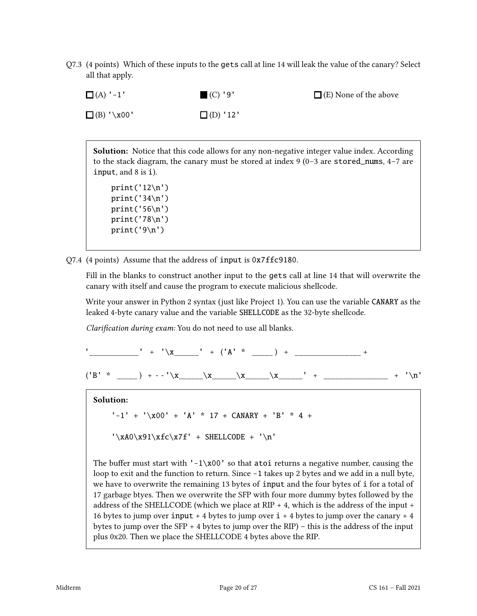Q7.3 (4 points) Which of these inputs to the gets call at line 14 will leak the value of the canary? Select all that apply.



**Solution:** Notice that this code allows for any non-negative integer value index. According to the stack diagram, the canary must be stored at index 9 (0–3 are stored\_nums, 4–7 are input, and 8 is i).

```
print('12\n')
print('34\n')
print('56\n')
print('78\n')
print('9\n')
```
Q7.4 (4 points) Assume that the address of input is 0x7ffc9180.

Fill in the blanks to construct another input to the gets call at line 14 that will overwrite the canary with itself and cause the program to execute malicious shellcode.

Write your answer in Python 2 syntax (just like Project 1). You can use the variable CANARY as the leaked 4-byte canary value and the variable SHELLCODE as the 32-byte shellcode.

Clarification during exam: You do not need to use all blanks.

 $\vdots$  + '\x  $\vdots$  + '\x  $\vdots$  + ('A' \* \_\_\_) + \_\_\_\_\_\_\_\_\_\_\_\_\_+  $('B' * \_ ) + - - '\x \_ x \_ \x_ \x_ \x_ ' + - \dots + ' \n'$ 

Solution:

 $'$ -1' +  $'\x00'$  + 'A' \* 17 + CANARY + 'B' \* 4 +

 $'\xA0\x91\xfc\x7f' + SHELLCODE + '\n'$ 

The buffer must start with  $-1 \times 00'$  so that atoi returns a negative number, causing the loop to exit and the function to return. Since -1 takes up 2 bytes and we add in a null byte, we have to overwrite the remaining 13 bytes of input and the four bytes of i for a total of 17 garbage btyes. Then we overwrite the SFP with four more dummy bytes followed by the address of the SHELLCODE (which we place at RIP  $+$  4, which is the address of the input  $+$ 16 bytes to jump over  $input + 4$  bytes to jump over  $i + 4$  bytes to jump over the canary  $+ 4$ bytes to jump over the SFP + 4 bytes to jump over the RIP) – this is the address of the input plus 0x20. Then we place the SHELLCODE 4 bytes above the RIP.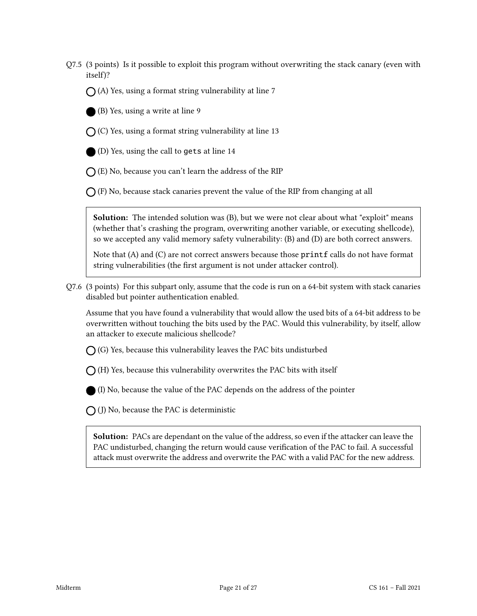Q7.5 (3 points) Is it possible to exploit this program without overwriting the stack canary (even with itself)?

 $\bigcap$  (A) Yes, using a format string vulnerability at line 7

(B) Yes, using a write at line 9

 $\bigcap$  (C) Yes, using a format string vulnerability at line 13

(D) Yes, using the call to gets at line 14

 $\bigcap$  (E) No, because you can't learn the address of the RIP

 $\bigcap$  (F) No, because stack canaries prevent the value of the RIP from changing at all

Solution: The intended solution was (B), but we were not clear about what "exploit" means (whether that's crashing the program, overwriting another variable, or executing shellcode), so we accepted any valid memory safety vulnerability: (B) and (D) are both correct answers.

Note that (A) and (C) are not correct answers because those printf calls do not have format string vulnerabilities (the first argument is not under attacker control).

Q7.6 (3 points) For this subpart only, assume that the code is run on a 64-bit system with stack canaries disabled but pointer authentication enabled.

Assume that you have found a vulnerability that would allow the used bits of a 64-bit address to be overwritten without touching the bits used by the PAC. Would this vulnerability, by itself, allow an attacker to execute malicious shellcode?

 $\bigcap$  (G) Yes, because this vulnerability leaves the PAC bits undisturbed

 $\bigcap$  (H) Yes, because this vulnerability overwrites the PAC bits with itself

(I) No, because the value of the PAC depends on the address of the pointer

 $\bigcap$  (J) No, because the PAC is deterministic

Solution: PACs are dependant on the value of the address, so even if the attacker can leave the PAC undisturbed, changing the return would cause verification of the PAC to fail. A successful attack must overwrite the address and overwrite the PAC with a valid PAC for the new address.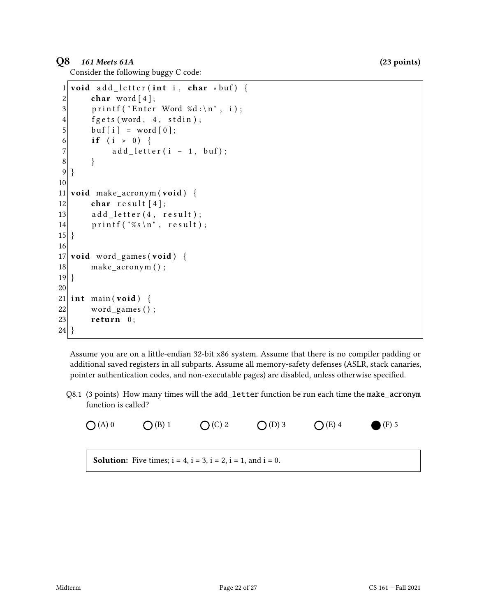# $Q8$  161 Meets 61A (23 points)

Consider the following buggy C code:

```
1 void add letter (int i, char *buf) {
2 char word [4];
3 printf ("Enter Word %d:\n", i);
4 fgets (word, 4, stdin);
5 buf [i] = word [0];
6 if (i > 0) {
7 add_letter(i - 1, buf);
8 }
9 }
10
11 void make_acronym (void) {
12 char result [4];
13 add_letter (4, result);14 printf ("%s\n", result);
15}
16
17 void word_games (void) {
18 make acronym ();
19 }
20
21 int main (void) {
22 word_games ();
23 return 0;
24 }
```
Assume you are on a little-endian 32-bit x86 system. Assume that there is no compiler padding or additional saved registers in all subparts. Assume all memory-safety defenses (ASLR, stack canaries, pointer authentication codes, and non-executable pages) are disabled, unless otherwise specified.

Q8.1 (3 points) How many times will the add\_letter function be run each time the make\_acronym function is called?

\n
$$
\bigodot(A)
$$
 0 \n  $\bigodot(B)$  1 \n  $\bigodot(C)$  2 \n  $\bigodot(D)$  3 \n  $\bigodot(E)$  4 \n  $\bigodot(F)$  5\n

\n\n**Solution:** Five times;  $i = 4$ ,  $i = 3$ ,  $i = 2$ ,  $i = 1$ , and  $i = 0$ .\n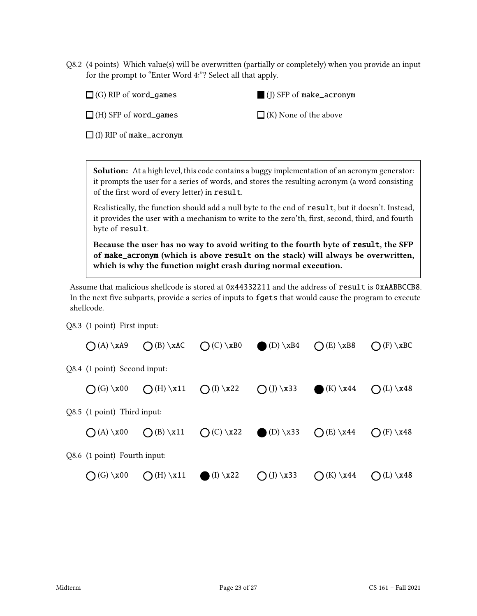Q8.2 (4 points) Which value(s) will be overwritten (partially or completely) when you provide an input for the prompt to "Enter Word 4:"? Select all that apply.

 $\Box$  (G) RIP of word\_games

(J) SFP of make\_acronym

 $\Box$  (H) SFP of word\_games

 $\Box$  (K) None of the above

 $\Box$  (I) RIP of make\_acronym

Solution: At a high level, this code contains a buggy implementation of an acronym generator: it prompts the user for a series of words, and stores the resulting acronym (a word consisting of the first word of every letter) in result.

Realistically, the function should add a null byte to the end of result, but it doesn't. Instead, it provides the user with a mechanism to write to the zero'th, first, second, third, and fourth byte of result.

Because the user has no way to avoid writing to the fourth byte of result, the SFP of make\_acronym (which is above result on the stack) will always be overwritten, which is why the function might crash during normal execution.

Assume that malicious shellcode is stored at 0x44332211 and the address of result is 0xAABBCCB8. In the next five subparts, provide a series of inputs to fgets that would cause the program to execute shellcode.

Q8.3 (1 point) First input:

| $(A) \ \lambda 49$           | $O(B) \ XAC$ $O(C) \ XB0$ $O(D) \ XB4$  |                                  | $O(E) \ \ $ xB8             | $\bigcap$ (F) \xBC          |
|------------------------------|-----------------------------------------|----------------------------------|-----------------------------|-----------------------------|
| Q8.4 (1 point) Second input: |                                         |                                  |                             |                             |
| $\bigcap$ (G) \x00           | $\bigcirc$ (H) \x11 $\bigcirc$ (I) \x22 | $\bigcirc$ (J) \x33              | $(K) \x44$                  | $\bigcap (L) \setminus x48$ |
| Q8.5 (1 point) Third input:  |                                         |                                  |                             |                             |
| $(A) \x00$                   | $O(B) \ x11$                            | $O(C) \x22$ (D) \x33 $O(E) \x44$ |                             | $\bigcap$ (F) \x48          |
| Q8.6 (1 point) Fourth input: |                                         |                                  |                             |                             |
| $O(G) \ \ x00$               | $\bigcirc$ (H) \x11 (I) \x22            | $\bigcirc$ (J) \x33              | $\bigcap (K) \setminus x44$ | $\bigcap (L) \setminus x48$ |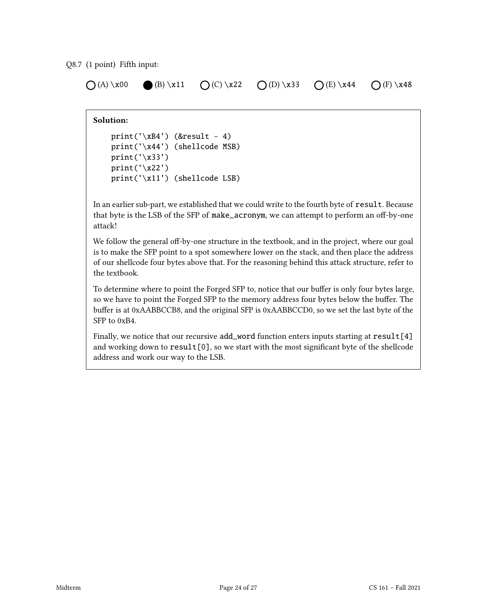### Q8.7 (1 point) Fifth input:

 $\bigcap (A) \x00 \bigoplus (B) \x11 \bigcap (C) \x22 \bigcap (D) \x33 \bigcap (E) \x44 \bigcap (F) \x48$ 

### Solution:

```
print('xB4') (&result - 4)
print('\x44') (shellcode MSB)
print('\x33')
print('\x22')
print('\x11') (shellcode LSB)
```
In an earlier sub-part, we established that we could write to the fourth byte of result. Because that byte is the LSB of the SFP of make\_acronym, we can attempt to perform an off-by-one attack!

We follow the general off-by-one structure in the textbook, and in the project, where our goal is to make the SFP point to a spot somewhere lower on the stack, and then place the address of our shellcode four bytes above that. For the reasoning behind this attack structure, refer to the textbook.

To determine where to point the Forged SFP to, notice that our buffer is only four bytes large, so we have to point the Forged SFP to the memory address four bytes below the buffer. The buffer is at 0xAABBCCB8, and the original SFP is 0xAABBCCD0, so we set the last byte of the SFP to 0xB4.

Finally, we notice that our recursive add\_word function enters inputs starting at  $result[4]$ and working down to  $result[0]$ , so we start with the most significant byte of the shellcode address and work our way to the LSB.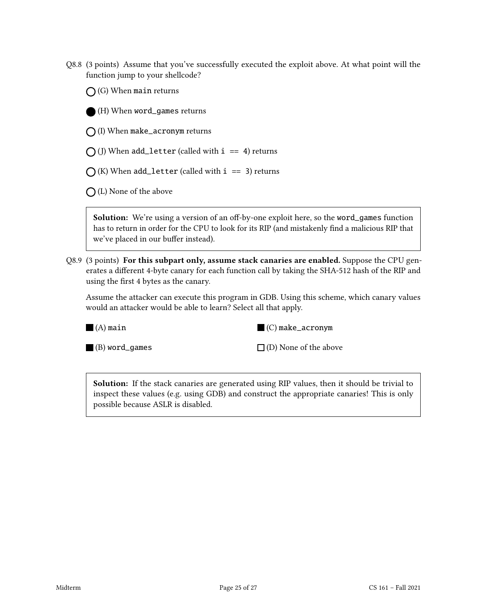Q8.8 (3 points) Assume that you've successfully executed the exploit above. At what point will the function jump to your shellcode?

 $\bigcap$  (G) When main returns

(H) When word\_games returns

 $\bigcap$  (I) When make\_acronym returns

 $\bigcap$  (J) When add\_letter (called with i == 4) returns

 $\bigcap$  (K) When add\_letter (called with i == 3) returns

 $\bigcap$  (L) None of the above

Solution: We're using a version of an off-by-one exploit here, so the word\_games function has to return in order for the CPU to look for its RIP (and mistakenly find a malicious RIP that we've placed in our buffer instead).

Q8.9 (3 points) For this subpart only, assume stack canaries are enabled. Suppose the CPU generates a different 4-byte canary for each function call by taking the SHA-512 hash of the RIP and using the first 4 bytes as the canary.

Assume the attacker can execute this program in GDB. Using this scheme, which canary values would an attacker would be able to learn? Select all that apply.

 $\blacksquare$  (A) main



(B) word\_games

 $\Box$  (D) None of the above

**Solution:** If the stack canaries are generated using RIP values, then it should be trivial to inspect these values (e.g. using GDB) and construct the appropriate canaries! This is only possible because ASLR is disabled.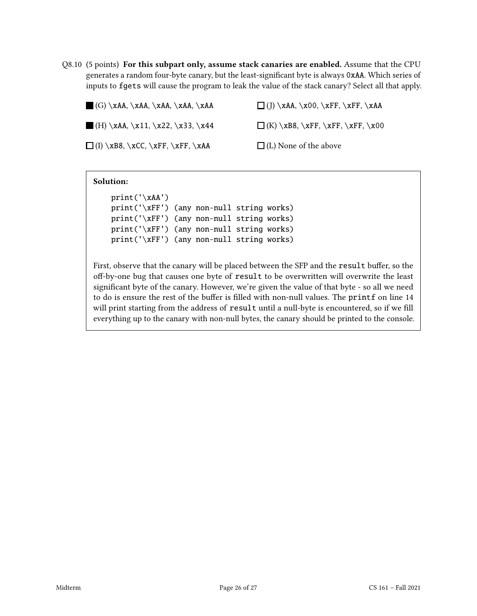Q8.10 (5 points) For this subpart only, assume stack canaries are enabled. Assume that the CPU generates a random four-byte canary, but the least-significant byte is always 0xAA. Which series of inputs to fgets will cause the program to leak the value of the stack canary? Select all that apply.

| $(G) \xAA, \xAA, \xAA, \xAA, \xAA$              | $\Box$ (J) \xAA, \x00, \xFF, \xFF, \xAA |
|-------------------------------------------------|-----------------------------------------|
| $\blacksquare$ (H) \xAA, \x11, \x22, \x33, \x44 | $\Box$ (K) \xB8, \xFF, \xFF, \xFF, \x00 |
| $\Box$ (I) \xB8, \xCC, \xFF, \xFF, \xAA         | $\Box$ (L) None of the above            |

### Solution:

```
print('\xAA')
print('\xFF') (any non-null string works)
print('\xFF') (any non-null string works)
print('\xFF') (any non-null string works)
print('\xFF') (any non-null string works)
```
First, observe that the canary will be placed between the SFP and the result buffer, so the off-by-one bug that causes one byte of result to be overwritten will overwrite the least significant byte of the canary. However, we're given the value of that byte - so all we need to do is ensure the rest of the buffer is filled with non-null values. The printf on line 14 will print starting from the address of result until a null-byte is encountered, so if we fill everything up to the canary with non-null bytes, the canary should be printed to the console.